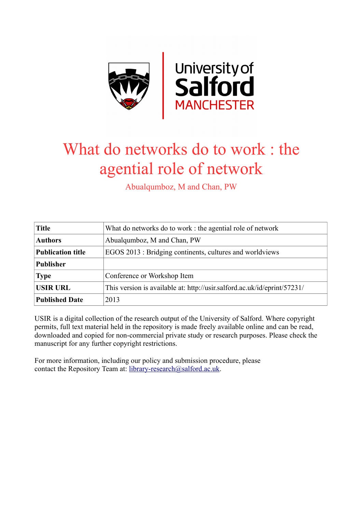

# What do networks do to work : the agential role of network

Abualqumboz, M and Chan, PW

| <b>Title</b>             | What do networks do to work: the agential role of network                |  |  |
|--------------------------|--------------------------------------------------------------------------|--|--|
| <b>Authors</b>           | Abualqumboz, M and Chan, PW                                              |  |  |
| <b>Publication title</b> | EGOS 2013 : Bridging continents, cultures and worldviews                 |  |  |
| <b>Publisher</b>         |                                                                          |  |  |
| <b>Type</b>              | Conference or Workshop Item                                              |  |  |
| <b>USIR URL</b>          | This version is available at: http://usir.salford.ac.uk/id/eprint/57231/ |  |  |
| <b>Published Date</b>    | 2013                                                                     |  |  |

USIR is a digital collection of the research output of the University of Salford. Where copyright permits, full text material held in the repository is made freely available online and can be read, downloaded and copied for non-commercial private study or research purposes. Please check the manuscript for any further copyright restrictions.

For more information, including our policy and submission procedure, please contact the Repository Team at: [library-research@salford.ac.uk.](mailto:library-research@salford.ac.uk)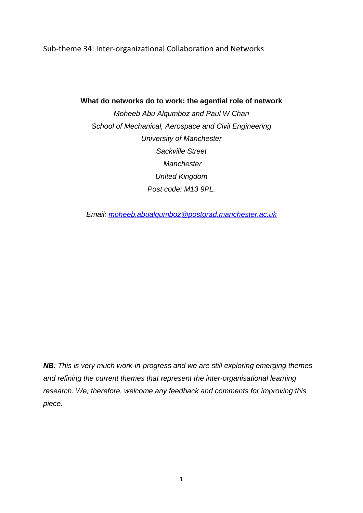Sub-theme 34: Inter-organizational Collaboration and Networks

**What do networks do to work: the agential role of network**

*Moheeb Abu Alqumboz and Paul W Chan School of Mechanical, Aerospace and Civil Engineering University of Manchester Sackville Street Manchester United Kingdom Post code: M13 9PL.*

*Email: [moheeb.abualqumboz@postgrad.manchester.ac.uk](mailto:moheeb.abualqumboz@postgrad.manchester.ac.uk)*

*NB: This is very much work-in-progress and we are still exploring emerging themes and refining the current themes that represent the inter-organisational learning research. We, therefore, welcome any feedback and comments for improving this piece.*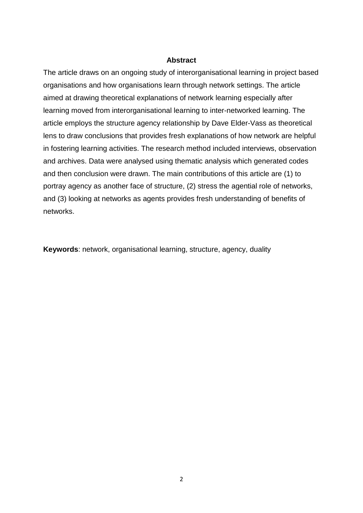# **Abstract**

The article draws on an ongoing study of interorganisational learning in project based organisations and how organisations learn through network settings. The article aimed at drawing theoretical explanations of network learning especially after learning moved from interorganisational learning to inter-networked learning. The article employs the structure agency relationship by Dave Elder-Vass as theoretical lens to draw conclusions that provides fresh explanations of how network are helpful in fostering learning activities. The research method included interviews, observation and archives. Data were analysed using thematic analysis which generated codes and then conclusion were drawn. The main contributions of this article are (1) to portray agency as another face of structure, (2) stress the agential role of networks, and (3) looking at networks as agents provides fresh understanding of benefits of networks.

**Keywords**: network, organisational learning, structure, agency, duality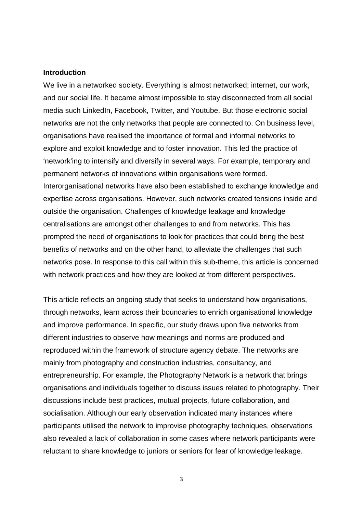#### **Introduction**

We live in a networked society. Everything is almost networked; internet, our work, and our social life. It became almost impossible to stay disconnected from all social media such LinkedIn, Facebook, Twitter, and Youtube. But those electronic social networks are not the only networks that people are connected to. On business level, organisations have realised the importance of formal and informal networks to explore and exploit knowledge and to foster innovation. This led the practice of 'network'ing to intensify and diversify in several ways. For example, temporary and permanent networks of innovations within organisations were formed. Interorganisational networks have also been established to exchange knowledge and expertise across organisations. However, such networks created tensions inside and outside the organisation. Challenges of knowledge leakage and knowledge centralisations are amongst other challenges to and from networks. This has prompted the need of organisations to look for practices that could bring the best benefits of networks and on the other hand, to alleviate the challenges that such networks pose. In response to this call within this sub-theme, this article is concerned with network practices and how they are looked at from different perspectives.

This article reflects an ongoing study that seeks to understand how organisations, through networks, learn across their boundaries to enrich organisational knowledge and improve performance. In specific, our study draws upon five networks from different industries to observe how meanings and norms are produced and reproduced within the framework of structure agency debate. The networks are mainly from photography and construction industries, consultancy, and entrepreneurship. For example, the Photography Network is a network that brings organisations and individuals together to discuss issues related to photography. Their discussions include best practices, mutual projects, future collaboration, and socialisation. Although our early observation indicated many instances where participants utilised the network to improvise photography techniques, observations also revealed a lack of collaboration in some cases where network participants were reluctant to share knowledge to juniors or seniors for fear of knowledge leakage.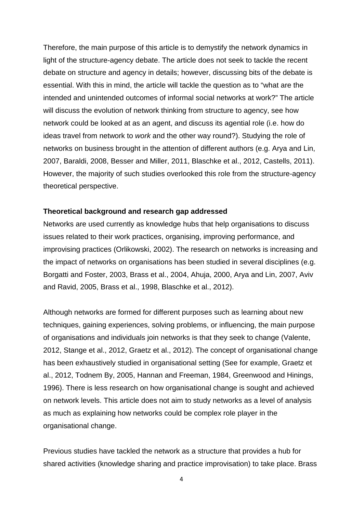Therefore, the main purpose of this article is to demystify the network dynamics in light of the structure-agency debate. The article does not seek to tackle the recent debate on structure and agency in details; however, discussing bits of the debate is essential. With this in mind, the article will tackle the question as to "what are the intended and unintended outcomes of informal social networks at work?" The article will discuss the evolution of network thinking from structure to agency, see how network could be looked at as an agent, and discuss its agential role (i.e. how do ideas travel from network to *work* and the other way round?). Studying the role of networks on business brought in the attention of different authors (e.g. [Arya and Lin,](#page-22-0)  [2007,](#page-22-0) [Baraldi, 2008,](#page-22-1) [Besser and Miller, 2011,](#page-22-2) [Blaschke et al., 2012,](#page-22-3) [Castells, 2011\)](#page-23-0). However, the majority of such studies overlooked this role from the structure-agency theoretical perspective.

# **Theoretical background and research gap addressed**

Networks are used currently as knowledge hubs that help organisations to discuss issues related to their work practices, organising, improving performance, and improvising practices [\(Orlikowski, 2002\)](#page-24-0). The research on networks is increasing and the impact of networks on organisations has been studied in several disciplines (e.g. [Borgatti and Foster, 2003,](#page-22-4) [Brass et al., 2004,](#page-22-5) [Ahuja, 2000,](#page-22-6) [Arya and Lin, 2007,](#page-22-0) [Aviv](#page-22-7)  [and Ravid, 2005,](#page-22-7) [Brass et al., 1998,](#page-22-8) [Blaschke et al., 2012\)](#page-22-3).

Although networks are formed for different purposes such as learning about new techniques, gaining experiences, solving problems, or influencing, the main purpose of organisations and individuals join networks is that they seek to change [\(Valente,](#page-24-1)  [2012,](#page-24-1) [Stange et al., 2012,](#page-24-2) [Graetz et al., 2012\)](#page-23-1). The concept of organisational change has been exhaustively studied in organisational setting (See for example, [Graetz et](#page-23-1)  [al., 2012,](#page-23-1) [Todnem By, 2005,](#page-24-3) [Hannan and Freeman, 1984,](#page-23-2) [Greenwood and Hinings,](#page-23-3)  [1996\)](#page-23-3). There is less research on how organisational change is sought and achieved on network levels. This article does not aim to study networks as a level of analysis as much as explaining how networks could be complex role player in the organisational change.

Previous studies have tackled the network as a structure that provides a hub for shared activities (knowledge sharing and practice improvisation) to take place. [Brass](#page-22-5)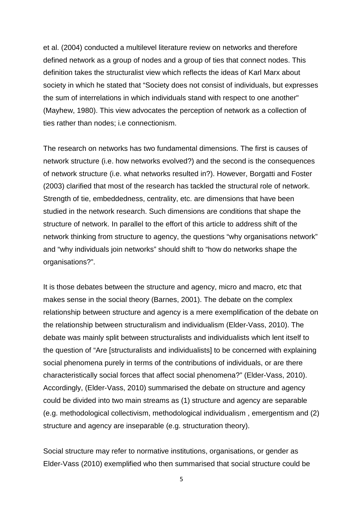[et al. \(2004\)](#page-22-5) conducted a multilevel literature review on networks and therefore defined network as a group of nodes and a group of ties that connect nodes. This definition takes the structuralist view which reflects the ideas of Karl Marx about society in which he stated that "Society does not consist of individuals, but expresses the sum of interrelations in which individuals stand with respect to one another" [\(Mayhew, 1980\)](#page-23-4). This view advocates the perception of network as a collection of ties rather than nodes; i.e connectionism.

The research on networks has two fundamental dimensions. The first is causes of network structure (i.e. how networks evolved?) and the second is the consequences of network structure (i.e. what networks resulted in?). However, [Borgatti and Foster](#page-22-4)  [\(2003\)](#page-22-4) clarified that most of the research has tackled the structural role of network. Strength of tie, embeddedness, centrality, etc. are dimensions that have been studied in the network research. Such dimensions are conditions that shape the structure of network. In parallel to the effort of this article to address shift of the network thinking from structure to agency, the questions "why organisations network" and "why individuals join networks" should shift to "how do networks shape the organisations?".

It is those debates between the structure and agency, micro and macro, etc that makes sense in the social theory [\(Barnes, 2001\)](#page-22-9). The debate on the complex relationship between structure and agency is a mere exemplification of the debate on the relationship between structuralism and individualism [\(Elder-Vass, 2010\)](#page-23-5). The debate was mainly split between structuralists and individualists which lent itself to the question of "Are [structuralists and individualists] to be concerned with explaining social phenomena purely in terms of the contributions of individuals, or are there characteristically social forces that affect social phenomena?" [\(Elder-Vass, 2010\)](#page-23-5). Accordingly, [\(Elder-Vass, 2010\)](#page-23-5) summarised the debate on structure and agency could be divided into two main streams as (1) structure and agency are separable (e.g. methodological collectivism, methodological individualism , emergentism and (2) structure and agency are inseparable (e.g. structuration theory).

Social structure may refer to normative institutions, organisations, or gender as [Elder-Vass \(2010\)](#page-23-5) exemplified who then summarised that social structure could be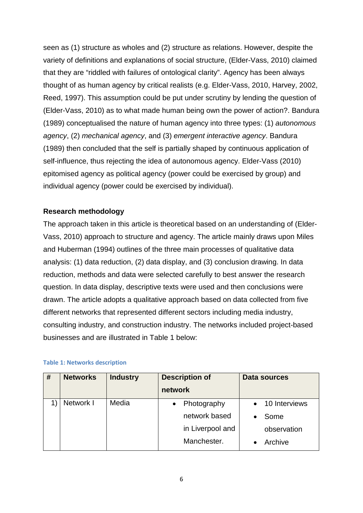seen as (1) structure as wholes and (2) structure as relations. However, despite the variety of definitions and explanations of social structure, [\(Elder-Vass, 2010\)](#page-23-5) claimed that they are "riddled with failures of ontological clarity". Agency has been always thought of as human agency by critical realists (e.g. [Elder-Vass, 2010,](#page-23-5) [Harvey, 2002,](#page-23-6) [Reed, 1997\)](#page-24-4). This assumption could be put under scrutiny by lending the question of [\(Elder-Vass, 2010\)](#page-23-5) as to what made human being own the power of action?. [Bandura](#page-22-10)  [\(1989\)](#page-22-10) conceptualised the nature of human agency into three types: (1) *autonomous agency*, (2) *mechanical agency*, and (3) *emergent interactive agency*. [Bandura](#page-22-10)  [\(1989\)](#page-22-10) then concluded that the self is partially shaped by continuous application of self-influence, thus rejecting the idea of autonomous agency. [Elder-Vass \(2010\)](#page-23-5) epitomised agency as political agency (power could be exercised by group) and individual agency (power could be exercised by individual).

# **Research methodology**

The approach taken in this article is theoretical based on an understanding of [\(Elder-](#page-23-5)[Vass, 2010\)](#page-23-5) approach to structure and agency. The article mainly draws upon [Miles](#page-24-5)  [and Huberman \(1994\)](#page-24-5) outlines of the three main processes of qualitative data analysis: (1) data reduction, (2) data display, and (3) conclusion drawing. In data reduction, methods and data were selected carefully to best answer the research question. In data display, descriptive texts were used and then conclusions were drawn. The article adopts a qualitative approach based on data collected from five different networks that represented different sectors including media industry, consulting industry, and construction industry. The networks included project-based businesses and are illustrated in Table 1 below:

| # | <b>Networks</b> | <b>Industry</b> | <b>Description of</b><br>network |                  | <b>Data sources</b> |
|---|-----------------|-----------------|----------------------------------|------------------|---------------------|
|   | Network I       | Media           | $\bullet$                        | Photography      | 10 Interviews       |
|   |                 |                 |                                  | network based    | Some                |
|   |                 |                 |                                  | in Liverpool and | observation         |
|   |                 |                 |                                  | Manchester.      | Archive             |

# **Table 1: Networks description**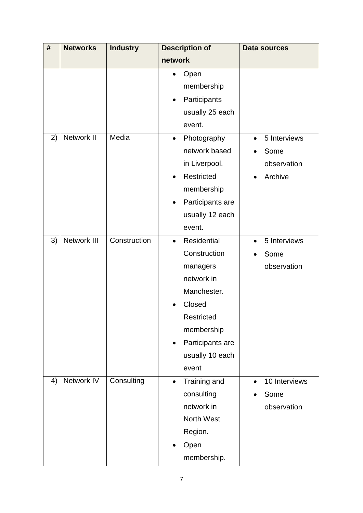| #  | <b>Networks</b> | <b>Industry</b> | <b>Description of</b>         | Data sources              |
|----|-----------------|-----------------|-------------------------------|---------------------------|
|    |                 |                 | network                       |                           |
|    |                 |                 | Open                          |                           |
|    |                 |                 | membership                    |                           |
|    |                 |                 | Participants                  |                           |
|    |                 |                 | usually 25 each               |                           |
|    |                 |                 | event.                        |                           |
| 2) | Network II      | Media           | Photography<br>$\bullet$      | 5 Interviews<br>$\bullet$ |
|    |                 |                 | network based                 | Some                      |
|    |                 |                 | in Liverpool.                 | observation               |
|    |                 |                 | Restricted<br>$\bullet$       | Archive                   |
|    |                 |                 | membership                    |                           |
|    |                 |                 | Participants are<br>$\bullet$ |                           |
|    |                 |                 | usually 12 each               |                           |
|    |                 |                 | event.                        |                           |
| 3) | Network III     | Construction    | Residential<br>$\bullet$      | 5 Interviews<br>$\bullet$ |
|    |                 |                 | Construction                  | Some                      |
|    |                 |                 | managers                      | observation               |
|    |                 |                 | network in                    |                           |
|    |                 |                 | Manchester.                   |                           |
|    |                 |                 | Closed                        |                           |
|    |                 |                 | Restricted                    |                           |
|    |                 |                 | membership                    |                           |
|    |                 |                 | Participants are<br>$\bullet$ |                           |
|    |                 |                 | usually 10 each               |                           |
|    |                 |                 | event                         |                           |
| 4) | Network IV      | Consulting      | Training and<br>$\bullet$     | 10 Interviews             |
|    |                 |                 | consulting                    | Some                      |
|    |                 |                 | network in                    | observation               |
|    |                 |                 | North West                    |                           |
|    |                 |                 | Region.                       |                           |
|    |                 |                 | Open                          |                           |
|    |                 |                 | membership.                   |                           |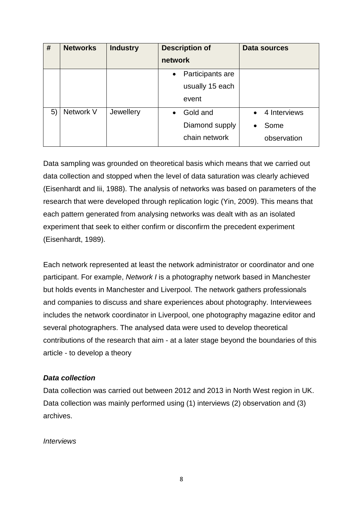| #  | <b>Networks</b> | <b>Industry</b> | <b>Description of</b>         | Data sources              |
|----|-----------------|-----------------|-------------------------------|---------------------------|
|    |                 |                 | network                       |                           |
|    |                 |                 | Participants are<br>$\bullet$ |                           |
|    |                 |                 | usually 15 each               |                           |
|    |                 |                 | event                         |                           |
| 5) | Network V       | Jewellery       | Gold and<br>$\bullet$         | 4 Interviews<br>$\bullet$ |
|    |                 |                 | Diamond supply                | Some<br>$\bullet$         |
|    |                 |                 | chain network                 | observation               |

Data sampling was grounded on theoretical basis which means that we carried out data collection and stopped when the level of data saturation was clearly achieved [\(Eisenhardt and Iii, 1988\)](#page-23-7). The analysis of networks was based on parameters of the research that were developed through replication logic [\(Yin, 2009\)](#page-24-6). This means that each pattern generated from analysing networks was dealt with as an isolated experiment that seek to either confirm or disconfirm the precedent experiment [\(Eisenhardt, 1989\)](#page-23-8).

Each network represented at least the network administrator or coordinator and one participant. For example, *Network I* is a photography network based in Manchester but holds events in Manchester and Liverpool. The network gathers professionals and companies to discuss and share experiences about photography. Interviewees includes the network coordinator in Liverpool, one photography magazine editor and several photographers. The analysed data were used to develop theoretical contributions of the research that aim - at a later stage beyond the boundaries of this article - to develop a theory

# *Data collection*

Data collection was carried out between 2012 and 2013 in North West region in UK. Data collection was mainly performed using (1) interviews (2) observation and (3) archives.

# *Interviews*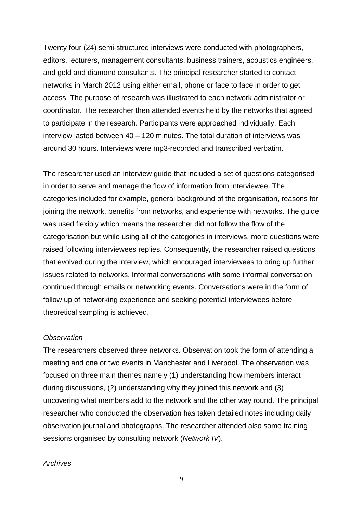Twenty four (24) semi-structured interviews were conducted with photographers, editors, lecturers, management consultants, business trainers, acoustics engineers, and gold and diamond consultants. The principal researcher started to contact networks in March 2012 using either email, phone or face to face in order to get access. The purpose of research was illustrated to each network administrator or coordinator. The researcher then attended events held by the networks that agreed to participate in the research. Participants were approached individually. Each interview lasted between 40 – 120 minutes. The total duration of interviews was around 30 hours. Interviews were mp3-recorded and transcribed verbatim.

The researcher used an interview guide that included a set of questions categorised in order to serve and manage the flow of information from interviewee. The categories included for example, general background of the organisation, reasons for joining the network, benefits from networks, and experience with networks. The guide was used flexibly which means the researcher did not follow the flow of the categorisation but while using all of the categories in interviews, more questions were raised following interviewees replies. Consequently, the researcher raised questions that evolved during the interview, which encouraged interviewees to bring up further issues related to networks. Informal conversations with some informal conversation continued through emails or networking events. Conversations were in the form of follow up of networking experience and seeking potential interviewees before theoretical sampling is achieved.

# *Observation*

The researchers observed three networks. Observation took the form of attending a meeting and one or two events in Manchester and Liverpool. The observation was focused on three main themes namely (1) understanding how members interact during discussions, (2) understanding why they joined this network and (3) uncovering what members add to the network and the other way round. The principal researcher who conducted the observation has taken detailed notes including daily observation journal and photographs. The researcher attended also some training sessions organised by consulting network (*Network IV*).

# *Archives*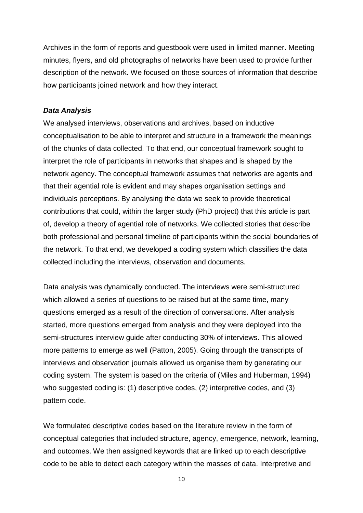Archives in the form of reports and guestbook were used in limited manner. Meeting minutes, flyers, and old photographs of networks have been used to provide further description of the network. We focused on those sources of information that describe how participants joined network and how they interact.

# *Data Analysis*

We analysed interviews, observations and archives, based on inductive conceptualisation to be able to interpret and structure in a framework the meanings of the chunks of data collected. To that end, our conceptual framework sought to interpret the role of participants in networks that shapes and is shaped by the network agency. The conceptual framework assumes that networks are agents and that their agential role is evident and may shapes organisation settings and individuals perceptions. By analysing the data we seek to provide theoretical contributions that could, within the larger study (PhD project) that this article is part of, develop a theory of agential role of networks. We collected stories that describe both professional and personal timeline of participants within the social boundaries of the network. To that end, we developed a coding system which classifies the data collected including the interviews, observation and documents.

Data analysis was dynamically conducted. The interviews were semi-structured which allowed a series of questions to be raised but at the same time, many questions emerged as a result of the direction of conversations. After analysis started, more questions emerged from analysis and they were deployed into the semi-structures interview guide after conducting 30% of interviews. This allowed more patterns to emerge as well [\(Patton, 2005\)](#page-24-7). Going through the transcripts of interviews and observation journals allowed us organise them by generating our coding system. The system is based on the criteria of [\(Miles and Huberman, 1994\)](#page-24-5) who suggested coding is: (1) descriptive codes, (2) interpretive codes, and (3) pattern code.

We formulated descriptive codes based on the literature review in the form of conceptual categories that included structure, agency, emergence, network, learning, and outcomes. We then assigned keywords that are linked up to each descriptive code to be able to detect each category within the masses of data. Interpretive and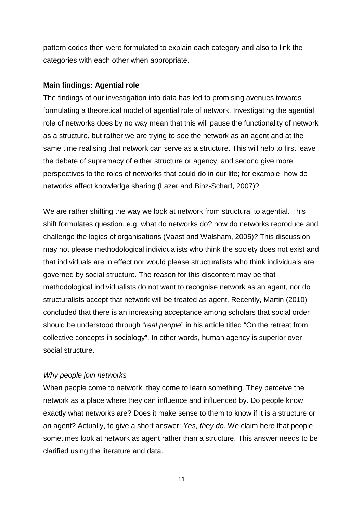pattern codes then were formulated to explain each category and also to link the categories with each other when appropriate.

# **Main findings: Agential role**

The findings of our investigation into data has led to promising avenues towards formulating a theoretical model of agential role of network. Investigating the agential role of networks does by no way mean that this will pause the functionality of network as a structure, but rather we are trying to see the network as an agent and at the same time realising that network can serve as a structure. This will help to first leave the debate of supremacy of either structure or agency, and second give more perspectives to the roles of networks that could do in our life; for example, how do networks affect knowledge sharing [\(Lazer and Binz-Scharf, 2007\)](#page-23-9)?

We are rather shifting the way we look at network from structural to agential. This shift formulates question, e.g. what do networks do? how do networks reproduce and challenge the logics of organisations [\(Vaast and Walsham, 2005\)](#page-24-8)? This discussion may not please methodological individualists who think the society does not exist and that individuals are in effect nor would please structuralists who think individuals are governed by social structure. The reason for this discontent may be that methodological individualists do not want to recognise network as an agent, nor do structuralists accept that network will be treated as agent. Recently, [Martin \(2010\)](#page-23-10) concluded that there is an increasing acceptance among scholars that social order should be understood through "*real people*" in his article titled "On the retreat from collective concepts in sociology". In other words, human agency is superior over social structure.

# *Why people join networks*

When people come to network, they come to learn something. They perceive the network as a place where they can influence and influenced by. Do people know exactly what networks are? Does it make sense to them to know if it is a structure or an agent? Actually, to give a short answer: *Yes, they do*. We claim here that people sometimes look at network as agent rather than a structure. This answer needs to be clarified using the literature and data.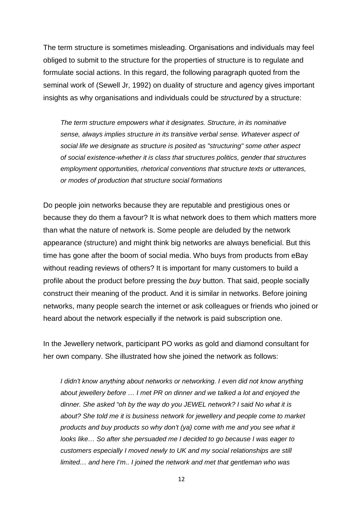The term structure is sometimes misleading. Organisations and individuals may feel obliged to submit to the structure for the properties of structure is to regulate and formulate social actions. In this regard, the following paragraph quoted from the seminal work of [\(Sewell Jr, 1992\)](#page-24-9) on duality of structure and agency gives important insights as why organisations and individuals could be *structured* by a structure:

*The term structure empowers what it designates. Structure, in its nominative sense, always implies structure in its transitive verbal sense. Whatever aspect of social life we designate as structure is posited as "structuring" some other aspect of social existence-whether it is class that structures politics, gender that structures employment opportunities, rhetorical conventions that structure texts or utterances, or modes of production that structure social formations*

Do people join networks because they are reputable and prestigious ones or because they do them a favour? It is what network does to them which matters more than what the nature of network is. Some people are deluded by the network appearance (structure) and might think big networks are always beneficial. But this time has gone after the boom of social media. Who buys from products from eBay without reading reviews of others? It is important for many customers to build a profile about the product before pressing the *buy* button. That said, people socially construct their meaning of the product. And it is similar in networks. Before joining networks, many people search the internet or ask colleagues or friends who joined or heard about the network especially if the network is paid subscription one.

In the Jewellery network, participant PO works as gold and diamond consultant for her own company. She illustrated how she joined the network as follows:

*I didn't know anything about networks or networking. I even did not know anything about jewellery before … I met PR on dinner and we talked a lot and enjoyed the dinner. She asked "oh by the way do you JEWEL network? I said No what it is about? She told me it is business network for jewellery and people come to market products and buy products so why don't (ya) come with me and you see what it looks like… So after she persuaded me I decided to go because I was eager to customers especially I moved newly to UK and my social relationships are still limited… and here I'm.. I joined the network and met that gentleman who was*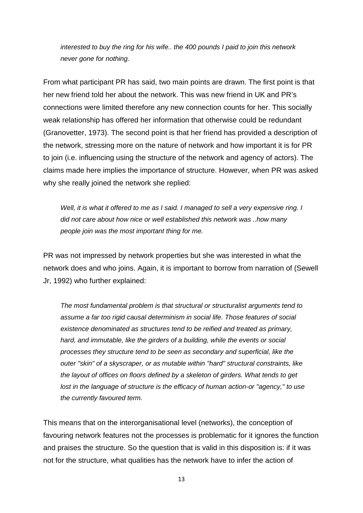*interested to buy the ring for his wife.. the 400 pounds I paid to join this network never gone for nothing.*

From what participant PR has said, two main points are drawn. The first point is that her new friend told her about the network. This was new friend in UK and PR's connections were limited therefore any new connection counts for her. This socially weak relationship has offered her information that otherwise could be redundant [\(Granovetter, 1973\)](#page-23-11). The second point is that her friend has provided a description of the network, stressing more on the nature of network and how important it is for PR to join (i.e. influencing using the structure of the network and agency of actors). The claims made here implies the importance of structure. However, when PR was asked why she really joined the network she replied:

*Well, it is what it offered to me as I said. I managed to sell a very expensive ring. I did not care about how nice or well established this network was ..how many people join was the most important thing for me.*

PR was not impressed by network properties but she was interested in what the network does and who joins. Again, it is important to borrow from narration of [\(Sewell](#page-24-9)  [Jr, 1992\)](#page-24-9) who further explained:

*The most fundamental problem is that structural or structuralist arguments tend to assume a far too rigid causal determinism in social life. Those features of social existence denominated as structures tend to be reified and treated as primary, hard, and immutable, like the girders of a building, while the events or social processes they structure tend to be seen as secondary and superficial, like the outer "skin" of a skyscraper, or as mutable within "hard" structural constraints, like the layout of offices on floors defined by a skeleton of girders. What tends to get lost in the language of structure is the efficacy of human action-or "agency," to use the currently favoured term.*

This means that on the interorganisational level (networks), the conception of favouring network features not the processes is problematic for it ignores the function and praises the structure. So the question that is valid in this disposition is: if it was not for the structure, what qualities has the network have to infer the action of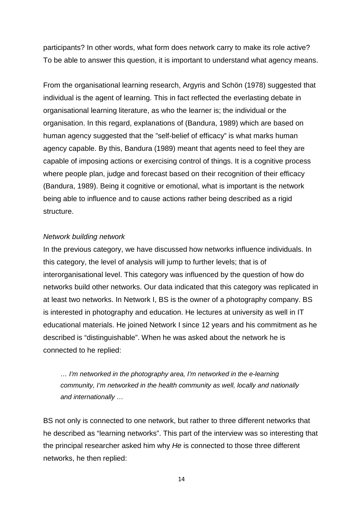participants? In other words, what form does network carry to make its role active? To be able to answer this question, it is important to understand what agency means.

From the organisational learning research, [Argyris and Schön \(1978\)](#page-22-11) suggested that individual is the agent of learning. This in fact reflected the everlasting debate in organisational learning literature, as who the learner is; the individual or the organisation. In this regard, explanations of [\(Bandura, 1989\)](#page-22-10) which are based on human agency suggested that the "self-belief of efficacy" is what marks human agency capable. By this, [Bandura \(1989\)](#page-22-10) meant that agents need to feel they are capable of imposing actions or exercising control of things. It is a cognitive process where people plan, judge and forecast based on their recognition of their efficacy [\(Bandura, 1989\)](#page-22-10). Being it cognitive or emotional, what is important is the network being able to influence and to cause actions rather being described as a rigid structure.

# *Network building network*

In the previous category, we have discussed how networks influence individuals. In this category, the level of analysis will jump to further levels; that is of interorganisational level. This category was influenced by the question of how do networks build other networks. Our data indicated that this category was replicated in at least two networks. In Network I, BS is the owner of a photography company. BS is interested in photography and education. He lectures at university as well in IT educational materials. He joined Network I since 12 years and his commitment as he described is "distinguishable". When he was asked about the network he is connected to he replied:

*… I'm networked in the photography area, I'm networked in the e-learning community, I'm networked in the health community as well, locally and nationally and internationally …*

BS not only is connected to one network, but rather to three different networks that he described as "learning networks". This part of the interview was so interesting that the principal researcher asked him why *He* is connected to those three different networks, he then replied: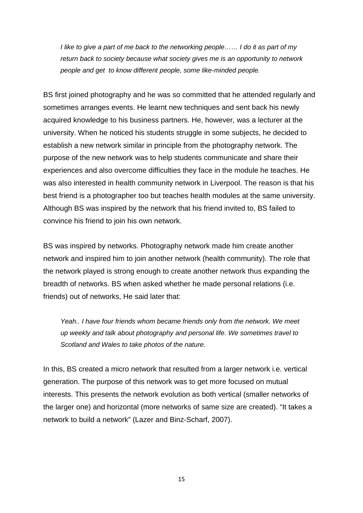*I like to give a part of me back to the networking people…… I do it as part of my return back to society because what society gives me is an opportunity to network people and get to know different people, some like-minded people.*

BS first joined photography and he was so committed that he attended regularly and sometimes arranges events. He learnt new techniques and sent back his newly acquired knowledge to his business partners. He, however, was a lecturer at the university. When he noticed his students struggle in some subjects, he decided to establish a new network similar in principle from the photography network. The purpose of the new network was to help students communicate and share their experiences and also overcome difficulties they face in the module he teaches. He was also interested in health community network in Liverpool. The reason is that his best friend is a photographer too but teaches health modules at the same university. Although BS was inspired by the network that his friend invited to, BS failed to convince his friend to join his own network.

BS was inspired by networks. Photography network made him create another network and inspired him to join another network (health community). The role that the network played is strong enough to create another network thus expanding the breadth of networks. BS when asked whether he made personal relations (i.e. friends) out of networks, He said later that:

*Yeah.. I have four friends whom became friends only from the network. We meet up weekly and talk about photography and personal life. We sometimes travel to Scotland and Wales to take photos of the nature.*

In this, BS created a micro network that resulted from a larger network i.e. vertical generation. The purpose of this network was to get more focused on mutual interests. This presents the network evolution as both vertical (smaller networks of the larger one) and horizontal (more networks of same size are created). "It takes a network to build a network" [\(Lazer and Binz-Scharf, 2007\)](#page-23-9).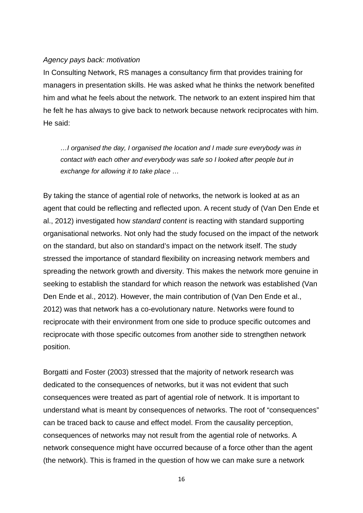# *Agency pays back: motivation*

In Consulting Network, RS manages a consultancy firm that provides training for managers in presentation skills. He was asked what he thinks the network benefited him and what he feels about the network. The network to an extent inspired him that he felt he has always to give back to network because network reciprocates with him. He said:

*…I organised the day, I organised the location and I made sure everybody was in contact with each other and everybody was safe so I looked after people but in exchange for allowing it to take place …*

By taking the stance of agential role of networks, the network is looked at as an agent that could be reflecting and reflected upon. A recent study of [\(Van Den Ende et](#page-24-10)  [al., 2012\)](#page-24-10) investigated how *standard content* is reacting with standard supporting organisational networks. Not only had the study focused on the impact of the network on the standard, but also on standard's impact on the network itself. The study stressed the importance of standard flexibility on increasing network members and spreading the network growth and diversity. This makes the network more genuine in seeking to establish the standard for which reason the network was established [\(Van](#page-24-10)  [Den Ende et al., 2012\)](#page-24-10). However, the main contribution of [\(Van Den Ende et al.,](#page-24-10)  [2012\)](#page-24-10) was that network has a co-evolutionary nature. Networks were found to reciprocate with their environment from one side to produce specific outcomes and reciprocate with those specific outcomes from another side to strengthen network position.

[Borgatti and Foster \(2003\)](#page-22-4) stressed that the majority of network research was dedicated to the consequences of networks, but it was not evident that such consequences were treated as part of agential role of network. It is important to understand what is meant by consequences of networks. The root of "consequences" can be traced back to cause and effect model. From the causality perception, consequences of networks may not result from the agential role of networks. A network consequence might have occurred because of a force other than the agent (the network). This is framed in the question of how we can make sure a network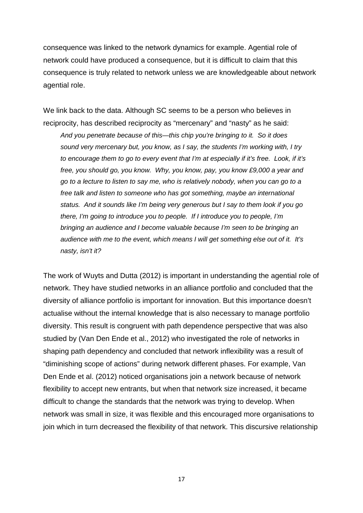consequence was linked to the network dynamics for example. Agential role of network could have produced a consequence, but it is difficult to claim that this consequence is truly related to network unless we are knowledgeable about network agential role.

We link back to the data. Although SC seems to be a person who believes in reciprocity, has described reciprocity as "mercenary" and "nasty" as he said:

*And you penetrate because of this—this chip you're bringing to it. So it does sound very mercenary but, you know, as I say, the students I'm working with, I try to encourage them to go to every event that I'm at especially if it's free. Look, if it's free, you should go, you know. Why, you know, pay, you know £9,000 a year and go to a lecture to listen to say me, who is relatively nobody, when you can go to a free talk and listen to someone who has got something, maybe an international status. And it sounds like I'm being very generous but I say to them look if you go there, I'm going to introduce you to people. If I introduce you to people, I'm bringing an audience and I become valuable because I'm seen to be bringing an audience with me to the event, which means I will get something else out of it. It's nasty, isn't it?* 

The work of [Wuyts and Dutta \(2012\)](#page-24-11) is important in understanding the agential role of network. They have studied networks in an alliance portfolio and concluded that the diversity of alliance portfolio is important for innovation. But this importance doesn't actualise without the internal knowledge that is also necessary to manage portfolio diversity. This result is congruent with path dependence perspective that was also studied by [\(Van Den Ende et al., 2012\)](#page-24-10) who investigated the role of networks in shaping path dependency and concluded that network inflexibility was a result of "diminishing scope of actions" during network different phases. For example, [Van](#page-24-10)  [Den Ende et al. \(2012\)](#page-24-10) noticed organisations join a network because of network flexibility to accept new entrants, but when that network size increased, it became difficult to change the standards that the network was trying to develop. When network was small in size, it was flexible and this encouraged more organisations to join which in turn decreased the flexibility of that network. This discursive relationship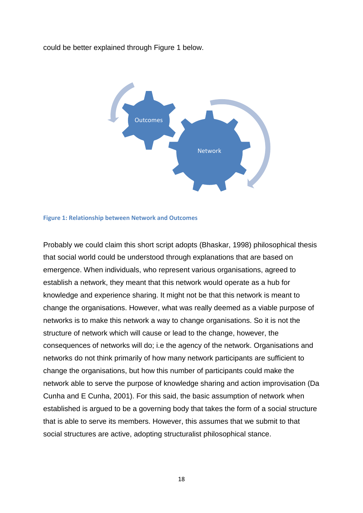could be better explained through Figure 1 below.



#### **Figure 1: Relationship between Network and Outcomes**

Probably we could claim this short script adopts [\(Bhaskar, 1998\)](#page-22-12) philosophical thesis that social world could be understood through explanations that are based on emergence. When individuals, who represent various organisations, agreed to establish a network, they meant that this network would operate as a hub for knowledge and experience sharing. It might not be that this network is meant to change the organisations. However, what was really deemed as a viable purpose of networks is to make this network a way to change organisations. So it is not the structure of network which will cause or lead to the change, however, the consequences of networks will do; i.e the agency of the network. Organisations and networks do not think primarily of how many network participants are sufficient to change the organisations, but how this number of participants could make the network able to serve the purpose of knowledge sharing and action improvisation [\(Da](#page-23-12)  [Cunha and E Cunha, 2001\)](#page-23-12). For this said, the basic assumption of network when established is argued to be a governing body that takes the form of a social structure that is able to serve its members. However, this assumes that we submit to that social structures are active, adopting structuralist philosophical stance.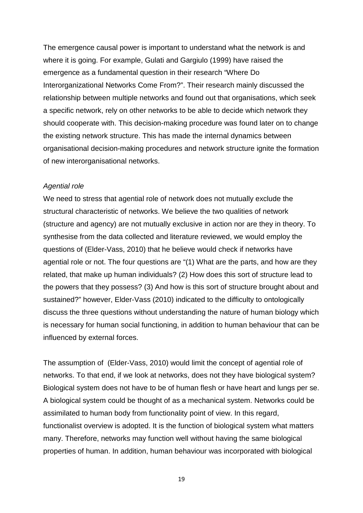The emergence causal power is important to understand what the network is and where it is going. For example, [Gulati and Gargiulo \(1999\)](#page-23-13) have raised the emergence as a fundamental question in their research "Where Do Interorganizational Networks Come From?". Their research mainly discussed the relationship between multiple networks and found out that organisations, which seek a specific network, rely on other networks to be able to decide which network they should cooperate with. This decision-making procedure was found later on to change the existing network structure. This has made the internal dynamics between organisational decision-making procedures and network structure ignite the formation of new interorganisational networks.

#### *Agential role*

We need to stress that agential role of network does not mutually exclude the structural characteristic of networks. We believe the two qualities of network (structure and agency) are not mutually exclusive in action nor are they in theory. To synthesise from the data collected and literature reviewed, we would employ the questions of [\(Elder-Vass, 2010\)](#page-23-5) that he believe would check if networks have agential role or not. The four questions are "(1) What are the parts, and how are they related, that make up human individuals? (2) How does this sort of structure lead to the powers that they possess? (3) And how is this sort of structure brought about and sustained?" however, [Elder-Vass \(2010\)](#page-23-5) indicated to the difficulty to ontologically discuss the three questions without understanding the nature of human biology which is necessary for human social functioning, in addition to human behaviour that can be influenced by external forces.

The assumption of [\(Elder-Vass, 2010\)](#page-23-5) would limit the concept of agential role of networks. To that end, if we look at networks, does not they have biological system? Biological system does not have to be of human flesh or have heart and lungs per se. A biological system could be thought of as a mechanical system. Networks could be assimilated to human body from functionality point of view. In this regard, functionalist overview is adopted. It is the function of biological system what matters many. Therefore, networks may function well without having the same biological properties of human. In addition, human behaviour was incorporated with biological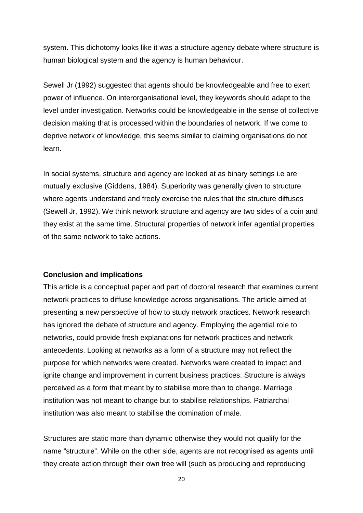system. This dichotomy looks like it was a structure agency debate where structure is human biological system and the agency is human behaviour.

[Sewell Jr \(1992\)](#page-24-9) suggested that agents should be knowledgeable and free to exert power of influence. On interorganisational level, they keywords should adapt to the level under investigation. Networks could be knowledgeable in the sense of collective decision making that is processed within the boundaries of network. If we come to deprive network of knowledge, this seems similar to claiming organisations do not learn.

In social systems, structure and agency are looked at as binary settings i.e are mutually exclusive [\(Giddens, 1984\)](#page-23-14). Superiority was generally given to structure where agents understand and freely exercise the rules that the structure diffuses [\(Sewell Jr, 1992\)](#page-24-9). We think network structure and agency are two sides of a coin and they exist at the same time. Structural properties of network infer agential properties of the same network to take actions.

# **Conclusion and implications**

This article is a conceptual paper and part of doctoral research that examines current network practices to diffuse knowledge across organisations. The article aimed at presenting a new perspective of how to study network practices. Network research has ignored the debate of structure and agency. Employing the agential role to networks, could provide fresh explanations for network practices and network antecedents. Looking at networks as a form of a structure may not reflect the purpose for which networks were created. Networks were created to impact and ignite change and improvement in current business practices. Structure is always perceived as a form that meant by to stabilise more than to change. Marriage institution was not meant to change but to stabilise relationships. Patriarchal institution was also meant to stabilise the domination of male.

Structures are static more than dynamic otherwise they would not qualify for the name "structure". While on the other side, agents are not recognised as agents until they create action through their own free will (such as producing and reproducing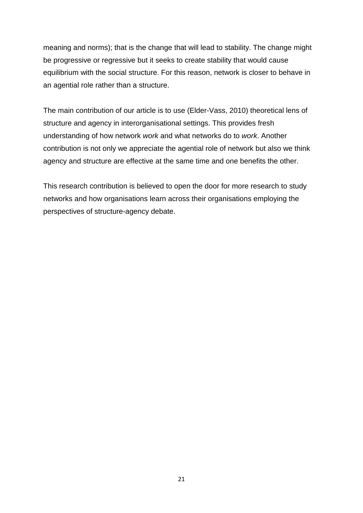meaning and norms); that is the change that will lead to stability. The change might be progressive or regressive but it seeks to create stability that would cause equilibrium with the social structure. For this reason, network is closer to behave in an agential role rather than a structure.

The main contribution of our article is to use [\(Elder-Vass, 2010\)](#page-23-5) theoretical lens of structure and agency in interorganisational settings. This provides fresh understanding of how network *work* and what networks do to *work*. Another contribution is not only we appreciate the agential role of network but also we think agency and structure are effective at the same time and one benefits the other.

This research contribution is believed to open the door for more research to study networks and how organisations learn across their organisations employing the perspectives of structure-agency debate.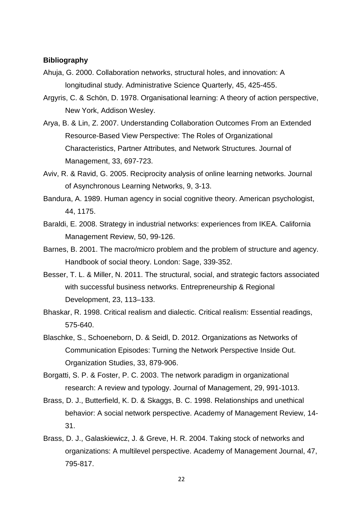#### **Bibliography**

- <span id="page-22-6"></span>Ahuja, G. 2000. Collaboration networks, structural holes, and innovation: A longitudinal study. Administrative Science Quarterly, 45, 425-455.
- <span id="page-22-11"></span>Argyris, C. & Schön, D. 1978. Organisational learning: A theory of action perspective, New York, Addison Wesley.
- <span id="page-22-0"></span>Arya, B. & Lin, Z. 2007. Understanding Collaboration Outcomes From an Extended Resource-Based View Perspective: The Roles of Organizational Characteristics, Partner Attributes, and Network Structures. Journal of Management, 33, 697-723.
- <span id="page-22-7"></span>Aviv, R. & Ravid, G. 2005. Reciprocity analysis of online learning networks. Journal of Asynchronous Learning Networks, 9, 3-13.
- <span id="page-22-10"></span>Bandura, A. 1989. Human agency in social cognitive theory. American psychologist, 44, 1175.
- <span id="page-22-1"></span>Baraldi, E. 2008. Strategy in industrial networks: experiences from IKEA. California Management Review, 50, 99-126.
- <span id="page-22-9"></span>Barnes, B. 2001. The macro/micro problem and the problem of structure and agency. Handbook of social theory. London: Sage, 339-352.
- <span id="page-22-2"></span>Besser, T. L. & Miller, N. 2011. The structural, social, and strategic factors associated with successful business networks. Entrepreneurship & Regional Development, 23, 113–133.
- <span id="page-22-12"></span>Bhaskar, R. 1998. Critical realism and dialectic. Critical realism: Essential readings, 575-640.
- <span id="page-22-3"></span>Blaschke, S., Schoeneborn, D. & Seidl, D. 2012. Organizations as Networks of Communication Episodes: Turning the Network Perspective Inside Out. Organization Studies, 33, 879-906.
- <span id="page-22-4"></span>Borgatti, S. P. & Foster, P. C. 2003. The network paradigm in organizational research: A review and typology. Journal of Management, 29, 991-1013.
- <span id="page-22-8"></span>Brass, D. J., Butterfield, K. D. & Skaggs, B. C. 1998. Relationships and unethical behavior: A social network perspective. Academy of Management Review, 14- 31.
- <span id="page-22-5"></span>Brass, D. J., Galaskiewicz, J. & Greve, H. R. 2004. Taking stock of networks and organizations: A multilevel perspective. Academy of Management Journal, 47, 795-817.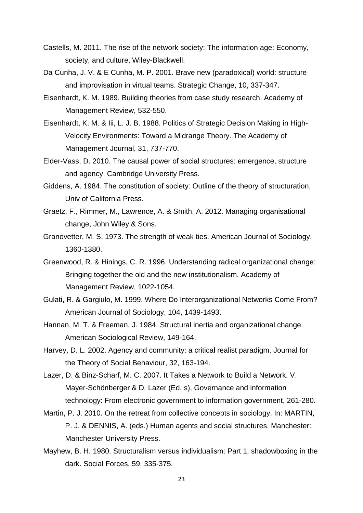- <span id="page-23-0"></span>Castells, M. 2011. The rise of the network society: The information age: Economy, society, and culture, Wiley-Blackwell.
- <span id="page-23-12"></span>Da Cunha, J. V. & E Cunha, M. P. 2001. Brave new (paradoxical) world: structure and improvisation in virtual teams. Strategic Change, 10, 337-347.
- <span id="page-23-8"></span>Eisenhardt, K. M. 1989. Building theories from case study research. Academy of Management Review, 532-550.
- <span id="page-23-7"></span>Eisenhardt, K. M. & Iii, L. J. B. 1988. Politics of Strategic Decision Making in High-Velocity Environments: Toward a Midrange Theory. The Academy of Management Journal, 31, 737-770.
- <span id="page-23-5"></span>Elder-Vass, D. 2010. The causal power of social structures: emergence, structure and agency, Cambridge University Press.
- <span id="page-23-14"></span>Giddens, A. 1984. The constitution of society: Outline of the theory of structuration, Univ of California Press.
- <span id="page-23-1"></span>Graetz, F., Rimmer, M., Lawrence, A. & Smith, A. 2012. Managing organisational change, John Wiley & Sons.
- <span id="page-23-11"></span>Granovetter, M. S. 1973. The strength of weak ties. American Journal of Sociology, 1360-1380.
- <span id="page-23-3"></span>Greenwood, R. & Hinings, C. R. 1996. Understanding radical organizational change: Bringing together the old and the new institutionalism. Academy of Management Review, 1022-1054.
- <span id="page-23-13"></span>Gulati, R. & Gargiulo, M. 1999. Where Do Interorganizational Networks Come From? American Journal of Sociology, 104, 1439-1493.
- <span id="page-23-2"></span>Hannan, M. T. & Freeman, J. 1984. Structural inertia and organizational change. American Sociological Review, 149-164.
- <span id="page-23-6"></span>Harvey, D. L. 2002. Agency and community: a critical realist paradigm. Journal for the Theory of Social Behaviour, 32, 163-194.
- <span id="page-23-9"></span>Lazer, D. & Binz-Scharf, M. C. 2007. It Takes a Network to Build a Network. V. Mayer-Schönberger & D. Lazer (Ed. s), Governance and information technology: From electronic government to information government, 261-280.
- <span id="page-23-10"></span>Martin, P. J. 2010. On the retreat from collective concepts in sociology. In: MARTIN, P. J. & DENNIS, A. (eds.) Human agents and social structures. Manchester: Manchester University Press.
- <span id="page-23-4"></span>Mayhew, B. H. 1980. Structuralism versus individualism: Part 1, shadowboxing in the dark. Social Forces, 59, 335-375.